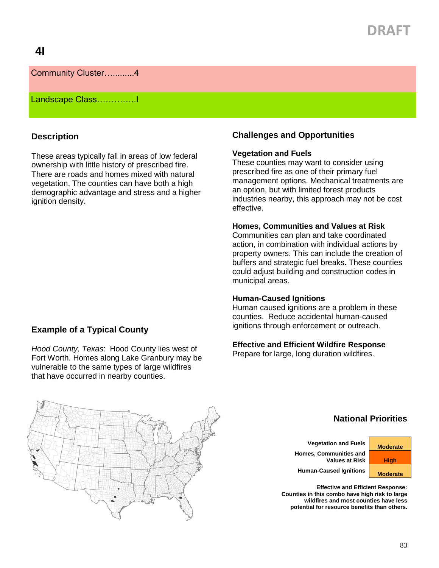# **DRAFT**

## **4I**

## Community Cluster….........4

## Landscape Class…………..I

## **Description**

These areas typically fall in areas of low federal ownership with little history of prescribed fire. There are roads and homes mixed with natural vegetation. The counties can have both a high demographic advantage and stress and a higher ignition density.

### **Example of a Typical County**

*Hood County, Texas*: Hood County lies west of Fort Worth. Homes along Lake Granbury may be vulnerable to the same types of large wildfires that have occurred in nearby counties.

## **Challenges and Opportunities**

#### **Vegetation and Fuels**

These counties may want to consider using prescribed fire as one of their primary fuel management options. Mechanical treatments are an option, but with limited forest products industries nearby, this approach may not be cost effective.

#### **Homes, Communities and Values at Risk**

Communities can plan and take coordinated action, in combination with individual actions by property owners. This can include the creation of buffers and strategic fuel breaks. These counties could adjust building and construction codes in municipal areas.

#### **Human-Caused Ignitions**

Human caused ignitions are a problem in these counties. Reduce accidental human-caused ignitions through enforcement or outreach.

#### **Effective and Efficient Wildfire Response**

Prepare for large, long duration wildfires.



## **National Priorities**

**Vegetation and Fuels Moderate Homes, Communities and Values at Risk | High** 

**Human-Caused Ignitions Moderate** 

**Effective and Efficient Response: Counties in this combo have high risk to large wildfires and most counties have less potential for resource benefits than others.**